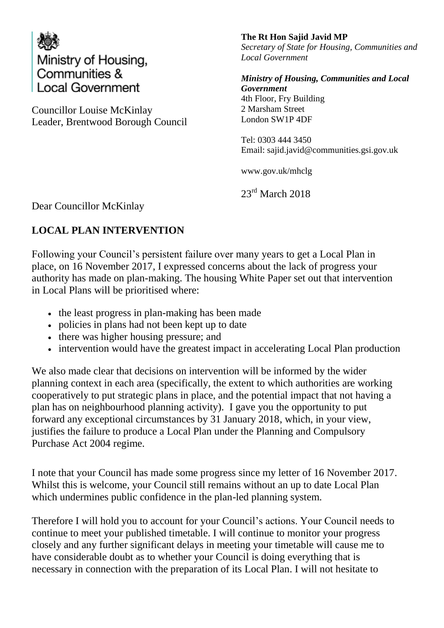

Councillor Louise McKinlay Leader, Brentwood Borough Council **The Rt Hon Sajid Javid MP** *Secretary of State for Housing, Communities and Local Government*

*Ministry of Housing, Communities and Local Government*  4th Floor, Fry Building 2 Marsham Street London SW1P 4DF

Tel: 0303 444 3450 Email: sajid.javid@communities.gsi.gov.uk

www.gov.uk/mhclg

23<sup>rd</sup> March 2018

Dear Councillor McKinlay

## **LOCAL PLAN INTERVENTION**

Following your Council's persistent failure over many years to get a Local Plan in place, on 16 November 2017, I expressed concerns about the lack of progress your authority has made on plan-making. The housing White Paper set out that intervention in Local Plans will be prioritised where:

- the least progress in plan-making has been made
- policies in plans had not been kept up to date
- there was higher housing pressure; and
- intervention would have the greatest impact in accelerating Local Plan production

We also made clear that decisions on intervention will be informed by the wider planning context in each area (specifically, the extent to which authorities are working cooperatively to put strategic plans in place, and the potential impact that not having a plan has on neighbourhood planning activity). I gave you the opportunity to put forward any exceptional circumstances by 31 January 2018, which, in your view, justifies the failure to produce a Local Plan under the Planning and Compulsory Purchase Act 2004 regime.

I note that your Council has made some progress since my letter of 16 November 2017. Whilst this is welcome, your Council still remains without an up to date Local Plan which undermines public confidence in the plan-led planning system.

Therefore I will hold you to account for your Council's actions. Your Council needs to continue to meet your published timetable. I will continue to monitor your progress closely and any further significant delays in meeting your timetable will cause me to have considerable doubt as to whether your Council is doing everything that is necessary in connection with the preparation of its Local Plan. I will not hesitate to